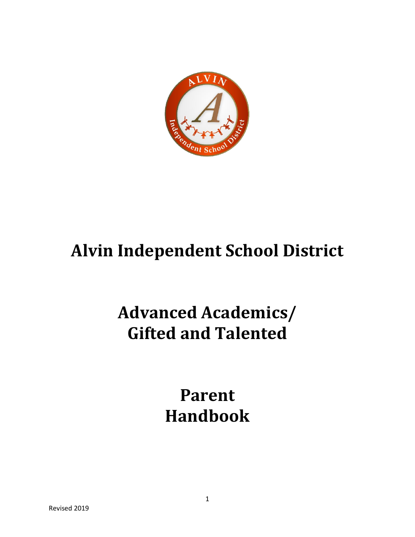

# **Alvin Independent School District**

## **Advanced Academics/ Gifted and Talented**

## **Parent Handbook**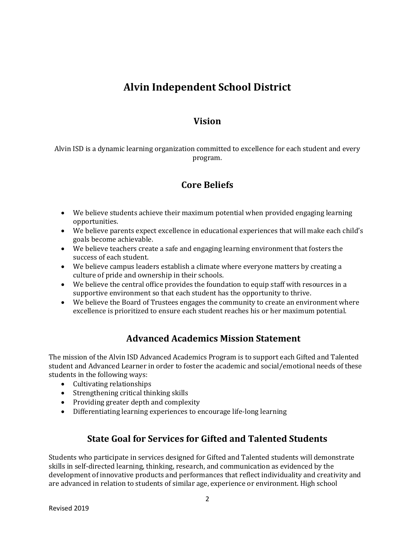## **Alvin Independent School District**

### **Vision**

Alvin ISD is a dynamic learning organization committed to excellence for each student and every program.

## **Core Beliefs**

- We believe students achieve their maximum potential when provided engaging learning opportunities.
- We believe parents expect excellence in educational experiences that will make each child's goals become achievable.
- We believe teachers create a safe and engaging learning environment that fosters the success of each student.
- We believe campus leaders establish a climate where everyone matters by creating a culture of pride and ownership in their schools.
- We believe the central office provides the foundation to equip staff with resources in a supportive environment so that each student has the opportunity to thrive.
- We believe the Board of Trustees engages the community to create an environment where excellence is prioritized to ensure each student reaches his or her maximum potential.

## **Advanced Academics Mission Statement**

The mission of the Alvin ISD Advanced Academics Program is to support each Gifted and Talented student and Advanced Learner in order to foster the academic and social/emotional needs of these students in the following ways:

- Cultivating relationships
- Strengthening critical thinking skills
- Providing greater depth and complexity
- Differentiating learning experiences to encourage life-long learning

## **State Goal for Services for Gifted and Talented Students**

Students who participate in services designed for Gifted and Talented students will demonstrate skills in self-directed learning, thinking, research, and communication as evidenced by the development of innovative products and performances that reflect individuality and creativity and are advanced in relation to students of similar age, experience or environment. High school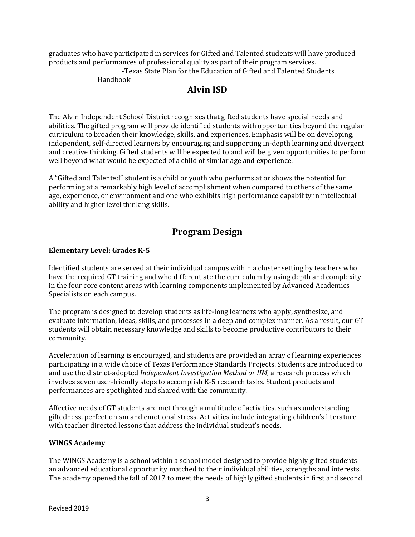graduates who have participated in services for Gifted and Talented students will have produced products and performances of professional quality as part of their program services. -Texas State Plan for the Education of Gifted and Talented Students Handbook

### **Alvin ISD**

The Alvin Independent School District recognizes that gifted students have special needs and abilities. The gifted program will provide identified students with opportunities beyond the regular curriculum to broaden their knowledge, skills, and experiences. Emphasis will be on developing, independent, self-directed learners by encouraging and supporting in-depth learning and divergent and creative thinking. Gifted students will be expected to and will be given opportunities to perform well beyond what would be expected of a child of similar age and experience.

A "Gifted and Talented" student is a child or youth who performs at or shows the potential for performing at a remarkably high level of accomplishment when compared to others of the same age, experience, or environment and one who exhibits high performance capability in intellectual ability and higher level thinking skills.

## **Program Design**

#### **Elementary Level: Grades K-5**

Identified students are served at their individual campus within a cluster setting by teachers who have the required GT training and who differentiate the curriculum by using depth and complexity in the four core content areas with learning components implemented by Advanced Academics Specialists on each campus.

The program is designed to develop students as life-long learners who apply, synthesize, and evaluate information, ideas, skills, and processes in a deep and complex manner. As a result, our GT students will obtain necessary knowledge and skills to become productive contributors to their community.

Acceleration of learning is encouraged, and students are provided an array of learning experiences participating in a wide choice of Texas Performance Standards Projects. Students are introduced to and use the district-adopted *Independent Investigation Method or IIM,* a research process which involves seven user-friendly steps to accomplish K-5 research tasks. Student products and performances are spotlighted and shared with the community.

Affective needs of GT students are met through a multitude of activities, such as understanding giftedness, perfectionism and emotional stress. Activities include integrating children's literature with teacher directed lessons that address the individual student's needs.

#### **WINGS Academy**

The WINGS Academy is a school within a school model designed to provide highly gifted students an advanced educational opportunity matched to their individual abilities, strengths and interests. The academy opened the fall of 2017 to meet the needs of highly gifted students in first and second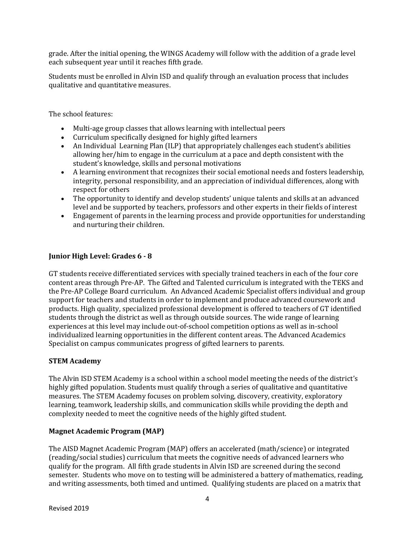grade. After the initial opening, the WINGS Academy will follow with the addition of a grade level each subsequent year until it reaches fifth grade.

Students must be enrolled in Alvin ISD and qualify through an evaluation process that includes qualitative and quantitative measures.

The school features:

- Multi-age group classes that allows learning with intellectual peers
- Curriculum specifically designed for highly gifted learners
- An Individual Learning Plan (ILP) that appropriately challenges each student's abilities allowing her/him to engage in the curriculum at a pace and depth consistent with the student's knowledge, skills and personal motivations
- A learning environment that recognizes their social emotional needs and fosters leadership, integrity, personal responsibility, and an appreciation of individual differences, along with respect for others
- The opportunity to identify and develop students' unique talents and skills at an advanced level and be supported by teachers, professors and other experts in their fields of interest
- Engagement of parents in the learning process and provide opportunities for understanding and nurturing their children.

#### **Junior High Level: Grades 6 - 8**

GT students receive differentiated services with specially trained teachers in each of the four core content areas through Pre-AP. The Gifted and Talented curriculum is integrated with the TEKS and the Pre-AP College Board curriculum. An Advanced Academic Specialist offers individual and group support for teachers and students in order to implement and produce advanced coursework and products. High quality, specialized professional development is offered to teachers of GT identified students through the district as well as through outside sources. The wide range of learning experiences at this level may include out-of-school competition options as well as in-school individualized learning opportunities in the different content areas. The Advanced Academics Specialist on campus communicates progress of gifted learners to parents.

#### **STEM Academy**

The Alvin ISD STEM Academy is a school within a school model meeting the needs of the district's highly gifted population. Students must qualify through a series of qualitative and quantitative measures. The STEM Academy focuses on problem solving, discovery, creativity, exploratory learning, teamwork, leadership skills, and communication skills while providing the depth and complexity needed to meet the cognitive needs of the highly gifted student.

#### **Magnet Academic Program (MAP)**

The AISD Magnet Academic Program (MAP) offers an accelerated (math/science) or integrated (reading/social studies) curriculum that meets the cognitive needs of advanced learners who qualify for the program. All fifth grade students in Alvin ISD are screened during the second semester. Students who move on to testing will be administered a battery of mathematics, reading, and writing assessments, both timed and untimed. Qualifying students are placed on a matrix that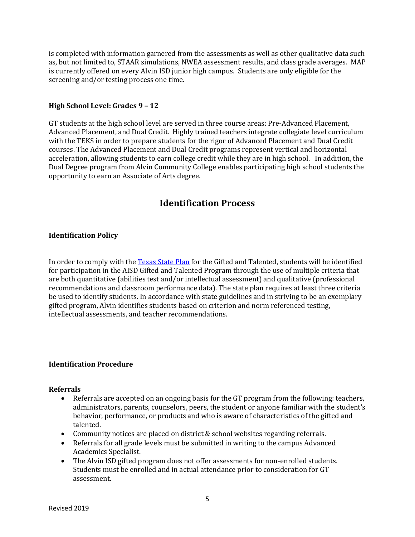is completed with information garnered from the assessments as well as other qualitative data such as, but not limited to, STAAR simulations, NWEA assessment results, and class grade averages. MAP is currently offered on every Alvin ISD junior high campus. Students are only eligible for the screening and/or testing process one time.

#### **High School Level: Grades 9 – 12**

GT students at the high school level are served in three course areas: Pre-Advanced Placement, Advanced Placement, and Dual Credit. Highly trained teachers integrate collegiate level curriculum with the TEKS in order to prepare students for the rigor of Advanced Placement and Dual Credit courses. The Advanced Placement and Dual Credit programs represent vertical and horizontal acceleration, allowing students to earn college credit while they are in high school. In addition, the Dual Degree program from Alvin Community College enables participating high school students the opportunity to earn an Associate of Arts degree.

### **Identification Process**

#### **Identification Policy**

In order to comply with the [Texas State Plan](https://tea.texas.gov/sites/default/files/GT_State_Plan_2019_1.pdf) for the Gifted and Talented, students will be identified for participation in the AISD Gifted and Talented Program through the use of multiple criteria that are both quantitative (abilities test and/or intellectual assessment) and qualitative (professional recommendations and classroom performance data). The state plan requires at least three criteria be used to identify students. In accordance with state guidelines and in striving to be an exemplary gifted program, Alvin identifies students based on criterion and norm referenced testing, intellectual assessments, and teacher recommendations.

#### **Identification Procedure**

#### **Referrals**

- Referrals are accepted on an ongoing basis for the GT program from the following: teachers, administrators, parents, counselors, peers, the student or anyone familiar with the student's behavior, performance, or products and who is aware of characteristics of the gifted and talented.
- Community notices are placed on district & school websites regarding referrals.
- Referrals for all grade levels must be submitted in writing to the campus Advanced Academics Specialist.
- The Alvin ISD gifted program does not offer assessments for non-enrolled students. Students must be enrolled and in actual attendance prior to consideration for GT assessment.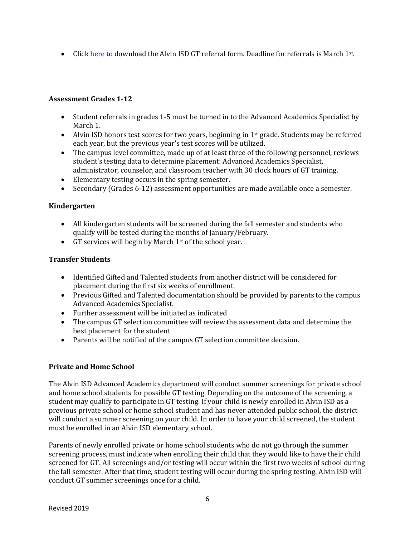• Click [here](https://www.alvinisd.net/cms/lib/TX01001897/Centricity/Domain/282/GT%20Student%20Referral%20Form%20Grades%201-5%2019-20.pdf) to download the Alvin ISD GT referral form. Deadline for referrals is March 1st.

#### **Assessment Grades 1-12**

- Student referrals in grades 1-5 must be turned in to the Advanced Academics Specialist by March 1.
- Alvin ISD honors test scores for two years, beginning in  $1<sup>st</sup>$  grade. Students may be referred each year, but the previous year's test scores will be utilized.
- The campus level committee, made up of at least three of the following personnel, reviews student's testing data to determine placement: Advanced Academics Specialist, administrator, counselor, and classroom teacher with 30 clock hours of GT training.
- Elementary testing occurs in the spring semester.
- Secondary (Grades 6-12) assessment opportunities are made available once a semester.

#### **Kindergarten**

- All kindergarten students will be screened during the fall semester and students who qualify will be tested during the months of January/February.
- GT services will begin by March  $1<sup>st</sup>$  of the school year.

#### **Transfer Students**

- Identified Gifted and Talented students from another district will be considered for placement during the first six weeks of enrollment.
- Previous Gifted and Talented documentation should be provided by parents to the campus Advanced Academics Specialist.
- Further assessment will be initiated as indicated
- The campus GT selection committee will review the assessment data and determine the best placement for the student
- Parents will be notified of the campus GT selection committee decision.

#### **Private and Home School**

The Alvin ISD Advanced Academics department will conduct summer screenings for private school and home school students for possible GT testing. Depending on the outcome of the screening, a student may qualify to participate in GT testing. If your child is newly enrolled in Alvin ISD as a previous private school or home school student and has never attended public school, the district will conduct a summer screening on your child. In order to have your child screened, the student must be enrolled in an Alvin ISD elementary school.

Parents of newly enrolled private or home school students who do not go through the summer screening process, must indicate when enrolling their child that they would like to have their child screened for GT. All screenings and/or testing will occur within the first two weeks of school during the fall semester. After that time, student testing will occur during the spring testing. Alvin ISD will conduct GT summer screenings once for a child.